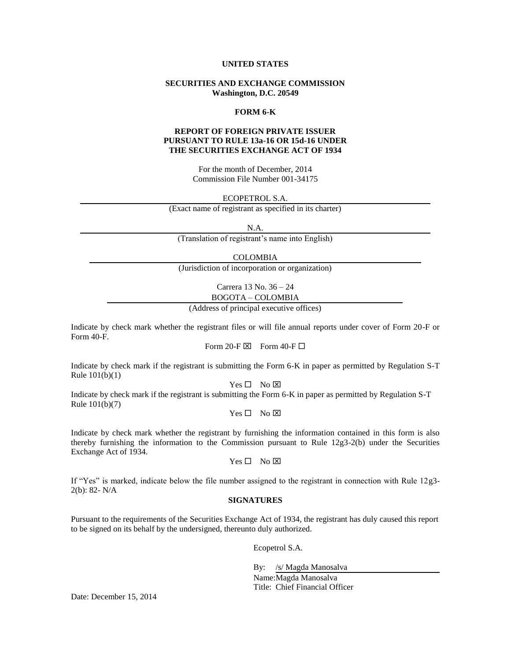#### **UNITED STATES**

# **SECURITIES AND EXCHANGE COMMISSION Washington, D.C. 20549**

#### **FORM 6-K**

#### **REPORT OF FOREIGN PRIVATE ISSUER PURSUANT TO RULE 13a-16 OR 15d-16 UNDER THE SECURITIES EXCHANGE ACT OF 1934**

For the month of December, 2014 Commission File Number 001-34175

ECOPETROL S.A.

(Exact name of registrant as specified in its charter)

N.A.

(Translation of registrant's name into English)

COLOMBIA

(Jurisdiction of incorporation or organization)

Carrera 13 No. 36 – 24 BOGOTA – COLOMBIA

(Address of principal executive offices)

Indicate by check mark whether the registrant files or will file annual reports under cover of Form 20-F or Form 40-F.

Form 20-F  $\boxtimes$  Form 40-F  $\Box$ 

Indicate by check mark if the registrant is submitting the Form 6-K in paper as permitted by Regulation S-T Rule 101(b)(1)

 $Yes \Box No \boxtimes$ 

Indicate by check mark if the registrant is submitting the Form 6-K in paper as permitted by Regulation S-T Rule 101(b)(7)

 $Yes \Box No \boxtimes$ 

Indicate by check mark whether the registrant by furnishing the information contained in this form is also thereby furnishing the information to the Commission pursuant to Rule 12g3-2(b) under the Securities Exchange Act of 1934.

 $Yes \Box No \boxtimes$ 

If "Yes" is marked, indicate below the file number assigned to the registrant in connection with Rule 12g3- 2(b): 82- N/A

#### **SIGNATURES**

Pursuant to the requirements of the Securities Exchange Act of 1934, the registrant has duly caused this report to be signed on its behalf by the undersigned, thereunto duly authorized.

Ecopetrol S.A.

By: /s/ Magda Manosalva Name: Magda Manosalva

Title: Chief Financial Officer

Date: December 15, 2014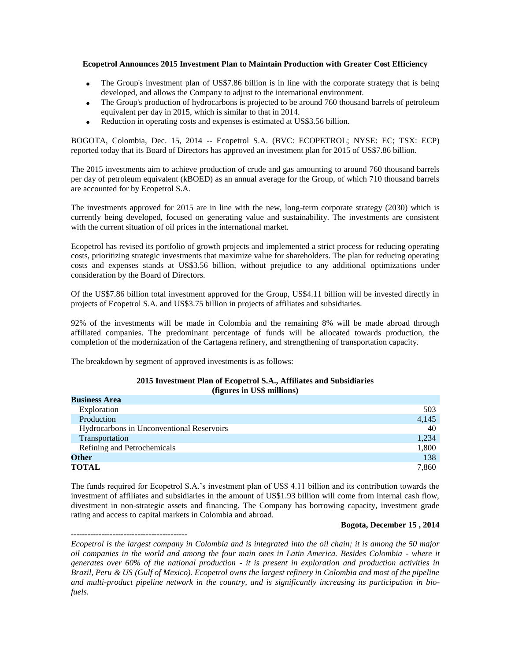## **Ecopetrol Announces 2015 Investment Plan to Maintain Production with Greater Cost Efficiency**

- The Group's investment plan of US\$7.86 billion is in line with the corporate strategy that is being developed, and allows the Company to adjust to the international environment.
- The Group's production of hydrocarbons is projected to be around 760 thousand barrels of petroleum equivalent per day in 2015, which is similar to that in 2014.
- Reduction in operating costs and expenses is estimated at US\$3.56 billion.

BOGOTA, Colombia, Dec. 15, 2014 -- Ecopetrol S.A. (BVC: ECOPETROL; NYSE: EC; TSX: ECP) reported today that its Board of Directors has approved an investment plan for 2015 of US\$7.86 billion.

The 2015 investments aim to achieve production of crude and gas amounting to around 760 thousand barrels per day of petroleum equivalent (kBOED) as an annual average for the Group, of which 710 thousand barrels are accounted for by Ecopetrol S.A.

The investments approved for 2015 are in line with the new, long-term corporate strategy (2030) which is currently being developed, focused on generating value and sustainability. The investments are consistent with the current situation of oil prices in the international market.

Ecopetrol has revised its portfolio of growth projects and implemented a strict process for reducing operating costs, prioritizing strategic investments that maximize value for shareholders. The plan for reducing operating costs and expenses stands at US\$3.56 billion, without prejudice to any additional optimizations under consideration by the Board of Directors.

Of the US\$7.86 billion total investment approved for the Group, US\$4.11 billion will be invested directly in projects of Ecopetrol S.A. and US\$3.75 billion in projects of affiliates and subsidiaries.

92% of the investments will be made in Colombia and the remaining 8% will be made abroad through affiliated companies. The predominant percentage of funds will be allocated towards production, the completion of the modernization of the Cartagena refinery, and strengthening of transportation capacity.

The breakdown by segment of approved investments is as follows:

------------------------------------------

#### **2015 Investment Plan of Ecopetrol S.A., Affiliates and Subsidiaries (figures in US\$ millions)**

| <b>Business Area</b>                      |       |
|-------------------------------------------|-------|
| Exploration                               | 503   |
| Production                                | 4,145 |
| Hydrocarbons in Unconventional Reservoirs | 40    |
| Transportation                            | 1,234 |
| Refining and Petrochemicals               | 1,800 |
| Other                                     | 138   |
| <b>TOTAL</b>                              | 7.860 |

The funds required for Ecopetrol S.A.'s investment plan of US\$ 4.11 billion and its contribution towards the investment of affiliates and subsidiaries in the amount of US\$1.93 billion will come from internal cash flow, divestment in non-strategic assets and financing. The Company has borrowing capacity, investment grade rating and access to capital markets in Colombia and abroad.

## **Bogota, December 15 , 2014**

*Ecopetrol is the largest company in Colombia and is integrated into the oil chain; it is among the 50 major oil companies in the world and among the four main ones in Latin America. Besides Colombia - where it generates over 60% of the national production - it is present in exploration and production activities in Brazil, Peru & US (Gulf of Mexico). Ecopetrol owns the largest refinery in Colombia and most of the pipeline and multi-product pipeline network in the country, and is significantly increasing its participation in biofuels.*